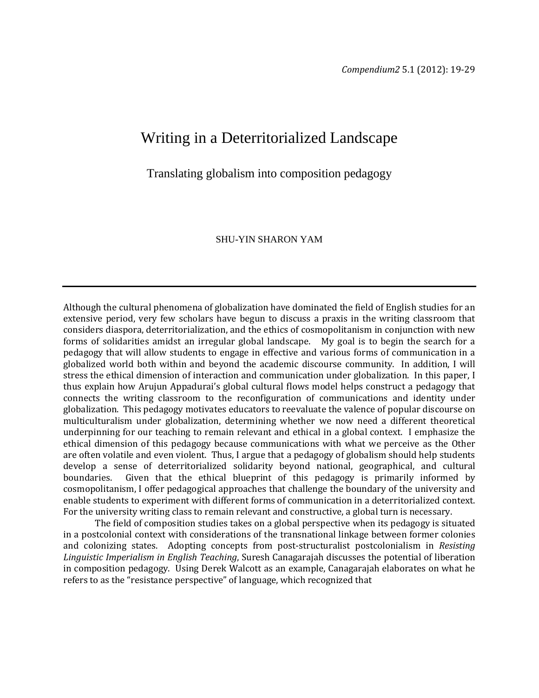## Writing in a Deterritorialized Landscape

Translating globalism into composition pedagogy

## SHU-YIN SHARON YAM

Although the cultural phenomena of globalization have dominated the field of English studies for an extensive period, very few scholars have begun to discuss a praxis in the writing classroom that considers diaspora, deterritorialization, and the ethics of cosmopolitanism in conjunction with new forms of solidarities amidst an irregular global landscape. My goal is to begin the search for a pedagogy that will allow students to engage in effective and various forms of communication in a globalized world both within and beyond the academic discourse community. In addition, I will stress the ethical dimension of interaction and communication under globalization. In this paper, I thus explain how Arujun Appadurai's global cultural flows model helps construct a pedagogy that connects the writing classroom to the reconfiguration of communications and identity under globalization. This pedagogy motivates educators to reevaluate the valence of popular discourse on multiculturalism under globalization, determining whether we now need a different theoretical underpinning for our teaching to remain relevant and ethical in a global context. I emphasize the ethical dimension of this pedagogy because communications with what we perceive as the Other are often volatile and even violent. Thus, I argue that a pedagogy of globalism should help students develop a sense of deterritorialized solidarity beyond national, geographical, and cultural boundaries. Given that the ethical blueprint of this pedagogy is primarily informed by Given that the ethical blueprint of this pedagogy is primarily informed by cosmopolitanism, I offer pedagogical approaches that challenge the boundary of the university and enable students to experiment with different forms of communication in a deterritorialized context. For the university writing class to remain relevant and constructive, a global turn is necessary.

The field of composition studies takes on a global perspective when its pedagogy is situated in a postcolonial context with considerations of the transnational linkage between former colonies and colonizing states. Adopting concepts from post-structuralist postcolonialism in *Resisting Linguistic Imperialism in English Teaching*, Suresh Canagarajah discusses the potential of liberation in composition pedagogy. Using Derek Walcott as an example, Canagarajah elaborates on what he refers to as the "resistance perspective" of language, which recognized that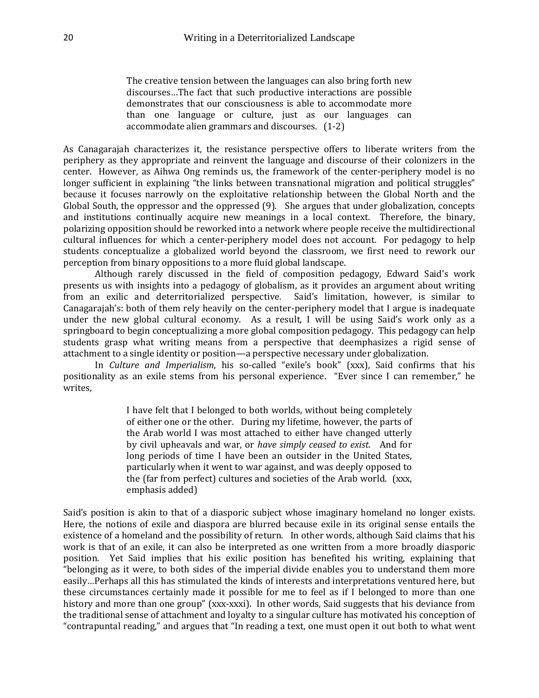The creative tension between the languages can also bring forth new discourses…The fact that such productive interactions are possible demonstrates that our consciousness is able to accommodate more than one language or culture, just as our languages can accommodate alien grammars and discourses. (1-2)

As Canagarajah characterizes it, the resistance perspective offers to liberate writers from the periphery as they appropriate and reinvent the language and discourse of their colonizers in the center. However, as Aihwa Ong reminds us, the framework of the center-periphery model is no longer sufficient in explaining "the links between transnational migration and political struggles" because it focuses narrowly on the exploitative relationship between the Global North and the Global South, the oppressor and the oppressed (9). She argues that under globalization, concepts and institutions continually acquire new meanings in a local context. Therefore, the binary, polarizing opposition should be reworked into a network where people receive the multidirectional cultural influences for which a center-periphery model does not account. For pedagogy to help students conceptualize a globalized world beyond the classroom, we first need to rework our perception from binary oppositions to a more fluid global landscape.

Although rarely discussed in the field of composition pedagogy, Edward Said's work presents us with insights into a pedagogy of globalism, as it provides an argument about writing from an exilic and deterritorialized perspective. Said's limitation, however, is similar to Canagarajah's: both of them rely heavily on the center-periphery model that I argue is inadequate under the new global cultural economy. As a result, I will be using Said's work only as a springboard to begin conceptualizing a more global composition pedagogy. This pedagogy can help students grasp what writing means from a perspective that deemphasizes a rigid sense of attachment to a single identity or position—a perspective necessary under globalization.

 In *Culture and Imperialism*, his so-called "exile's book" (xxx), Said confirms that his positionality as an exile stems from his personal experience. "Ever since I can remember," he writes,

> I have felt that I belonged to both worlds, without being completely of either one or the other. During my lifetime, however, the parts of the Arab world I was most attached to either have changed utterly by civil upheavals and war, or *have simply ceased to exist*. And for long periods of time I have been an outsider in the United States, particularly when it went to war against, and was deeply opposed to the (far from perfect) cultures and societies of the Arab world. (xxx, emphasis added)

Said's position is akin to that of a diasporic subject whose imaginary homeland no longer exists. Here, the notions of exile and diaspora are blurred because exile in its original sense entails the existence of a homeland and the possibility of return. In other words, although Said claims that his work is that of an exile, it can also be interpreted as one written from a more broadly diasporic position. Yet Said implies that his exilic position has benefited his writing, explaining that "belonging as it were, to both sides of the imperial divide enables you to understand them more easily…Perhaps all this has stimulated the kinds of interests and interpretations ventured here, but these circumstances certainly made it possible for me to feel as if I belonged to more than one history and more than one group" (xxx-xxxi). In other words, Said suggests that his deviance from the traditional sense of attachment and loyalty to a singular culture has motivated his conception of "contrapuntal reading," and argues that "In reading a text, one must open it out both to what went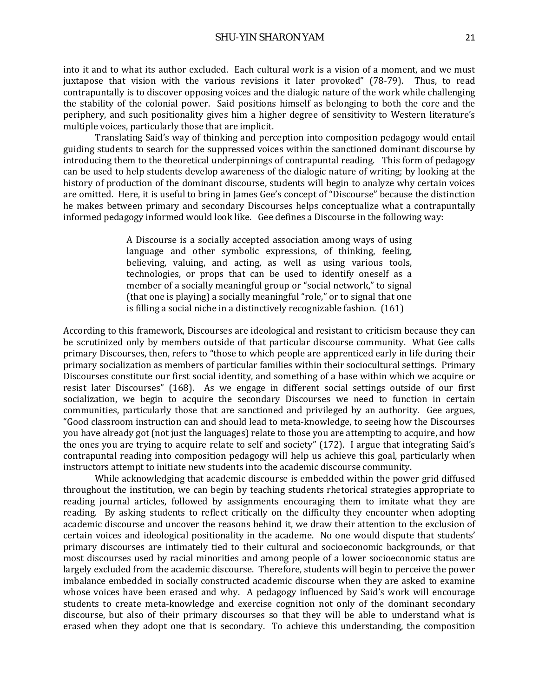into it and to what its author excluded. Each cultural work is a vision of a moment, and we must juxtapose that vision with the various revisions it later provoked" (78-79). Thus, to read contrapuntally is to discover opposing voices and the dialogic nature of the work while challenging the stability of the colonial power. Said positions himself as belonging to both the core and the periphery, and such positionality gives him a higher degree of sensitivity to Western literature's multiple voices, particularly those that are implicit.

Translating Said's way of thinking and perception into composition pedagogy would entail guiding students to search for the suppressed voices within the sanctioned dominant discourse by introducing them to the theoretical underpinnings of contrapuntal reading. This form of pedagogy can be used to help students develop awareness of the dialogic nature of writing; by looking at the history of production of the dominant discourse, students will begin to analyze why certain voices are omitted. Here, it is useful to bring in James Gee's concept of "Discourse" because the distinction he makes between primary and secondary Discourses helps conceptualize what a contrapuntally informed pedagogy informed would look like. Gee defines a Discourse in the following way:

> A Discourse is a socially accepted association among ways of using language and other symbolic expressions, of thinking, feeling, believing, valuing, and acting, as well as using various tools, technologies, or props that can be used to identify oneself as a member of a socially meaningful group or "social network," to signal (that one is playing) a socially meaningful "role," or to signal that one is filling a social niche in a distinctively recognizable fashion. (161)

According to this framework, Discourses are ideological and resistant to criticism because they can be scrutinized only by members outside of that particular discourse community. What Gee calls primary Discourses, then, refers to "those to which people are apprenticed early in life during their primary socialization as members of particular families within their sociocultural settings. Primary Discourses constitute our first social identity, and something of a base within which we acquire or resist later Discourses" (168). As we engage in different social settings outside of our first socialization, we begin to acquire the secondary Discourses we need to function in certain communities, particularly those that are sanctioned and privileged by an authority. Gee argues, "Good classroom instruction can and should lead to meta-knowledge, to seeing how the Discourses you have already got (not just the languages) relate to those you are attempting to acquire, and how the ones you are trying to acquire relate to self and society" (172). I argue that integrating Said's contrapuntal reading into composition pedagogy will help us achieve this goal, particularly when instructors attempt to initiate new students into the academic discourse community.

While acknowledging that academic discourse is embedded within the power grid diffused throughout the institution, we can begin by teaching students rhetorical strategies appropriate to reading journal articles, followed by assignments encouraging them to imitate what they are reading*.* By asking students to reflect critically on the difficulty they encounter when adopting academic discourse and uncover the reasons behind it, we draw their attention to the exclusion of certain voices and ideological positionality in the academe. No one would dispute that students' primary discourses are intimately tied to their cultural and socioeconomic backgrounds, or that most discourses used by racial minorities and among people of a lower socioeconomic status are largely excluded from the academic discourse. Therefore, students will begin to perceive the power imbalance embedded in socially constructed academic discourse when they are asked to examine whose voices have been erased and why. A pedagogy influenced by Said's work will encourage students to create meta-knowledge and exercise cognition not only of the dominant secondary discourse, but also of their primary discourses so that they will be able to understand what is erased when they adopt one that is secondary. To achieve this understanding, the composition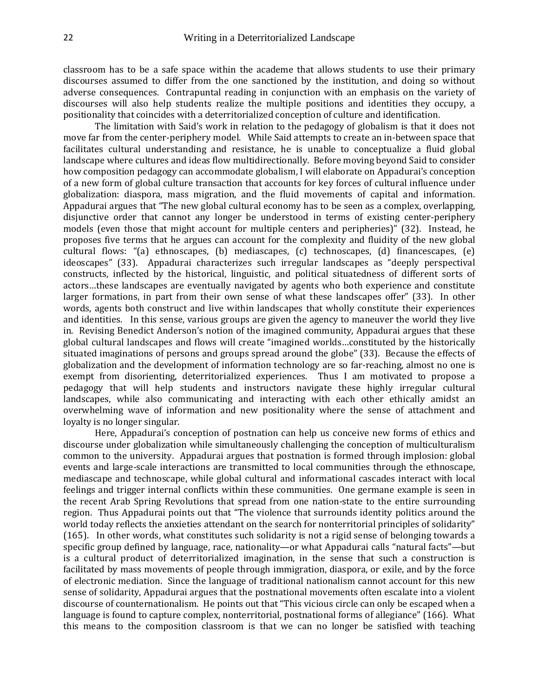classroom has to be a safe space within the academe that allows students to use their primary discourses assumed to differ from the one sanctioned by the institution, and doing so without adverse consequences. Contrapuntal reading in conjunction with an emphasis on the variety of discourses will also help students realize the multiple positions and identities they occupy, a positionality that coincides with a deterritorialized conception of culture and identification.

The limitation with Said's work in relation to the pedagogy of globalism is that it does not move far from the center-periphery model. While Said attempts to create an in-between space that facilitates cultural understanding and resistance, he is unable to conceptualize a fluid global landscape where cultures and ideas flow multidirectionally. Before moving beyond Said to consider how composition pedagogy can accommodate globalism, I will elaborate on Appadurai's conception of a new form of global culture transaction that accounts for key forces of cultural influence under globalization: diaspora, mass migration, and the fluid movements of capital and information. Appadurai argues that "The new global cultural economy has to be seen as a complex, overlapping, disjunctive order that cannot any longer be understood in terms of existing center-periphery models (even those that might account for multiple centers and peripheries)" (32). Instead, he proposes five terms that he argues can account for the complexity and fluidity of the new global cultural flows: "(a) ethnoscapes, (b) mediascapes, (c) technoscapes, (d) financescapes, (e) ideoscapes" (33). Appadurai characterizes such irregular landscapes as "deeply perspectival constructs, inflected by the historical, linguistic, and political situatedness of different sorts of actors…these landscapes are eventually navigated by agents who both experience and constitute larger formations, in part from their own sense of what these landscapes offer" (33). In other words, agents both construct and live within landscapes that wholly constitute their experiences and identities. In this sense, various groups are given the agency to maneuver the world they live in. Revising Benedict Anderson's notion of the imagined community, Appadurai argues that these global cultural landscapes and flows will create "imagined worlds…constituted by the historically situated imaginations of persons and groups spread around the globe" (33). Because the effects of globalization and the development of information technology are so far-reaching, almost no one is exempt from disorienting, deterritorialized experiences. Thus I am motivated to propose a pedagogy that will help students and instructors navigate these highly irregular cultural landscapes, while also communicating and interacting with each other ethically amidst an overwhelming wave of information and new positionality where the sense of attachment and loyalty is no longer singular.

Here, Appadurai's conception of postnation can help us conceive new forms of ethics and discourse under globalization while simultaneously challenging the conception of multiculturalism common to the university. Appadurai argues that postnation is formed through implosion: global events and large-scale interactions are transmitted to local communities through the ethnoscape, mediascape and technoscape, while global cultural and informational cascades interact with local feelings and trigger internal conflicts within these communities. One germane example is seen in the recent Arab Spring Revolutions that spread from one nation-state to the entire surrounding region. Thus Appadurai points out that "The violence that surrounds identity politics around the world today reflects the anxieties attendant on the search for nonterritorial principles of solidarity" (165). In other words, what constitutes such solidarity is not a rigid sense of belonging towards a specific group defined by language, race, nationality—or what Appadurai calls "natural facts"—but is a cultural product of deterritorialized imagination, in the sense that such a construction is facilitated by mass movements of people through immigration, diaspora, or exile, and by the force of electronic mediation. Since the language of traditional nationalism cannot account for this new sense of solidarity, Appadurai argues that the postnational movements often escalate into a violent discourse of counternationalism. He points out that "This vicious circle can only be escaped when a language is found to capture complex, nonterritorial, postnational forms of allegiance" (166). What this means to the composition classroom is that we can no longer be satisfied with teaching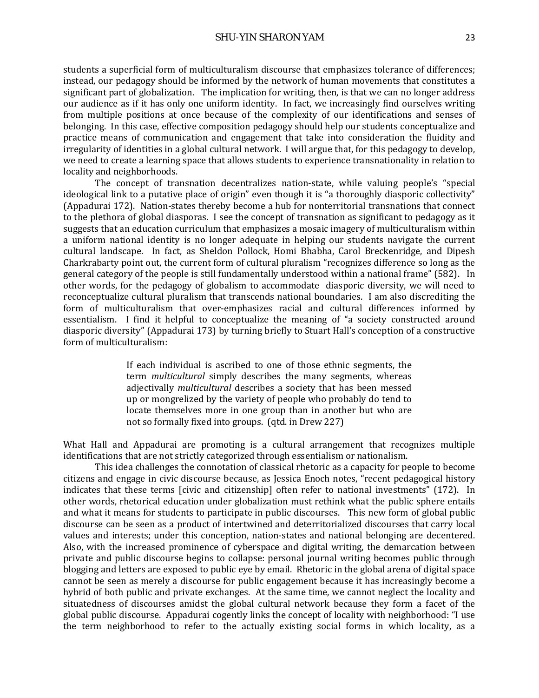students a superficial form of multiculturalism discourse that emphasizes tolerance of differences; instead, our pedagogy should be informed by the network of human movements that constitutes a significant part of globalization. The implication for writing, then, is that we can no longer address our audience as if it has only one uniform identity. In fact, we increasingly find ourselves writing from multiple positions at once because of the complexity of our identifications and senses of belonging. In this case, effective composition pedagogy should help our students conceptualize and practice means of communication and engagement that take into consideration the fluidity and irregularity of identities in a global cultural network. I will argue that, for this pedagogy to develop, we need to create a learning space that allows students to experience transnationality in relation to locality and neighborhoods.

The concept of transnation decentralizes nation-state, while valuing people's "special ideological link to a putative place of origin" even though it is "a thoroughly diasporic collectivity" (Appadurai 172). Nation-states thereby become a hub for nonterritorial transnations that connect to the plethora of global diasporas. I see the concept of transnation as significant to pedagogy as it suggests that an education curriculum that emphasizes a mosaic imagery of multiculturalism within a uniform national identity is no longer adequate in helping our students navigate the current cultural landscape. In fact, as Sheldon Pollock, Homi Bhabha, Carol Breckenridge, and Dipesh Charkrabarty point out, the current form of cultural pluralism "recognizes difference so long as the general category of the people is still fundamentally understood within a national frame" (582). In other words, for the pedagogy of globalism to accommodate diasporic diversity, we will need to reconceptualize cultural pluralism that transcends national boundaries. I am also discrediting the form of multiculturalism that over-emphasizes racial and cultural differences informed by essentialism. I find it helpful to conceptualize the meaning of "a society constructed around diasporic diversity" (Appadurai 173) by turning briefly to Stuart Hall's conception of a constructive form of multiculturalism:

> If each individual is ascribed to one of those ethnic segments, the term *multicultural* simply describes the many segments, whereas adjectivally *multicultural* describes a society that has been messed up or mongrelized by the variety of people who probably do tend to locate themselves more in one group than in another but who are not so formally fixed into groups. (qtd. in Drew 227)

What Hall and Appadurai are promoting is a cultural arrangement that recognizes multiple identifications that are not strictly categorized through essentialism or nationalism.

This idea challenges the connotation of classical rhetoric as a capacity for people to become citizens and engage in civic discourse because, as Jessica Enoch notes, "recent pedagogical history indicates that these terms [civic and citizenship] often refer to national investments" (172). In other words, rhetorical education under globalization must rethink what the public sphere entails and what it means for students to participate in public discourses. This new form of global public discourse can be seen as a product of intertwined and deterritorialized discourses that carry local values and interests; under this conception, nation-states and national belonging are decentered. Also, with the increased prominence of cyberspace and digital writing, the demarcation between private and public discourse begins to collapse: personal journal writing becomes public through blogging and letters are exposed to public eye by email. Rhetoric in the global arena of digital space cannot be seen as merely a discourse for public engagement because it has increasingly become a hybrid of both public and private exchanges. At the same time, we cannot neglect the locality and situatedness of discourses amidst the global cultural network because they form a facet of the global public discourse. Appadurai cogently links the concept of locality with neighborhood: "I use the term neighborhood to refer to the actually existing social forms in which locality, as a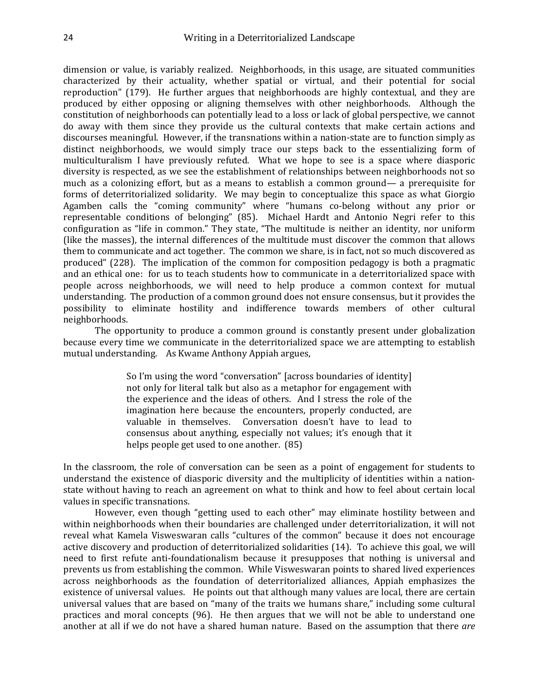dimension or value, is variably realized. Neighborhoods, in this usage, are situated communities characterized by their actuality, whether spatial or virtual, and their potential for social reproduction" (179). He further argues that neighborhoods are highly contextual, and they are produced by either opposing or aligning themselves with other neighborhoods. Although the constitution of neighborhoods can potentially lead to a loss or lack of global perspective, we cannot do away with them since they provide us the cultural contexts that make certain actions and discourses meaningful. However, if the transnations within a nation-state are to function simply as distinct neighborhoods, we would simply trace our steps back to the essentializing form of multiculturalism I have previously refuted. What we hope to see is a space where diasporic diversity is respected, as we see the establishment of relationships between neighborhoods not so much as a colonizing effort, but as a means to establish a common ground— a prerequisite for forms of deterritorialized solidarity. We may begin to conceptualize this space as what Giorgio Agamben calls the "coming community" where "humans co-belong without any prior or representable conditions of belonging" (85). Michael Hardt and Antonio Negri refer to this configuration as "life in common." They state, "The multitude is neither an identity, nor uniform (like the masses), the internal differences of the multitude must discover the common that allows them to communicate and act together. The common we share, is in fact, not so much discovered as produced" (228). The implication of the common for composition pedagogy is both a pragmatic and an ethical one: for us to teach students how to communicate in a deterritorialized space with people across neighborhoods, we will need to help produce a common context for mutual understanding. The production of a common ground does not ensure consensus, but it provides the possibility to eliminate hostility and indifference towards members of other cultural neighborhoods.

The opportunity to produce a common ground is constantly present under globalization because every time we communicate in the deterritorialized space we are attempting to establish mutual understanding. As Kwame Anthony Appiah argues,

> So I'm using the word "conversation" [across boundaries of identity] not only for literal talk but also as a metaphor for engagement with the experience and the ideas of others. And I stress the role of the imagination here because the encounters, properly conducted, are valuable in themselves. Conversation doesn't have to lead to consensus about anything, especially not values; it's enough that it helps people get used to one another. (85)

In the classroom, the role of conversation can be seen as a point of engagement for students to understand the existence of diasporic diversity and the multiplicity of identities within a nationstate without having to reach an agreement on what to think and how to feel about certain local values in specific transnations.

However, even though "getting used to each other" may eliminate hostility between and within neighborhoods when their boundaries are challenged under deterritorialization, it will not reveal what Kamela Visweswaran calls "cultures of the common" because it does not encourage active discovery and production of deterritorialized solidarities (14). To achieve this goal, we will need to first refute anti-foundationalism because it presupposes that nothing is universal and prevents us from establishing the common. While Visweswaran points to shared lived experiences across neighborhoods as the foundation of deterritorialized alliances, Appiah emphasizes the existence of universal values. He points out that although many values are local, there are certain universal values that are based on "many of the traits we humans share," including some cultural practices and moral concepts (96). He then argues that we will not be able to understand one another at all if we do not have a shared human nature. Based on the assumption that there *are*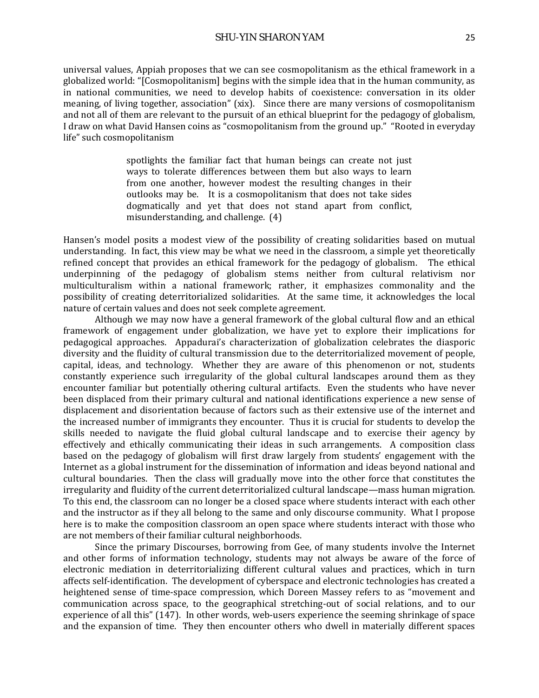universal values, Appiah proposes that we can see cosmopolitanism as the ethical framework in a globalized world: "[Cosmopolitanism] begins with the simple idea that in the human community, as in national communities, we need to develop habits of coexistence: conversation in its older meaning, of living together, association" (xix). Since there are many versions of cosmopolitanism and not all of them are relevant to the pursuit of an ethical blueprint for the pedagogy of globalism, I draw on what David Hansen coins as "cosmopolitanism from the ground up." "Rooted in everyday life" such cosmopolitanism

> spotlights the familiar fact that human beings can create not just ways to tolerate differences between them but also ways to learn from one another, however modest the resulting changes in their outlooks may be. It is a cosmopolitanism that does not take sides dogmatically and yet that does not stand apart from conflict, misunderstanding, and challenge. (4)

Hansen's model posits a modest view of the possibility of creating solidarities based on mutual understanding. In fact, this view may be what we need in the classroom, a simple yet theoretically refined concept that provides an ethical framework for the pedagogy of globalism. The ethical underpinning of the pedagogy of globalism stems neither from cultural relativism nor multiculturalism within a national framework; rather, it emphasizes commonality and the possibility of creating deterritorialized solidarities. At the same time, it acknowledges the local nature of certain values and does not seek complete agreement.

Although we may now have a general framework of the global cultural flow and an ethical framework of engagement under globalization, we have yet to explore their implications for pedagogical approaches. Appadurai's characterization of globalization celebrates the diasporic diversity and the fluidity of cultural transmission due to the deterritorialized movement of people, capital, ideas, and technology. Whether they are aware of this phenomenon or not, students constantly experience such irregularity of the global cultural landscapes around them as they encounter familiar but potentially othering cultural artifacts. Even the students who have never been displaced from their primary cultural and national identifications experience a new sense of displacement and disorientation because of factors such as their extensive use of the internet and the increased number of immigrants they encounter. Thus it is crucial for students to develop the skills needed to navigate the fluid global cultural landscape and to exercise their agency by effectively and ethically communicating their ideas in such arrangements. A composition class based on the pedagogy of globalism will first draw largely from students' engagement with the Internet as a global instrument for the dissemination of information and ideas beyond national and cultural boundaries. Then the class will gradually move into the other force that constitutes the irregularity and fluidity of the current deterritorialized cultural landscape—mass human migration. To this end, the classroom can no longer be a closed space where students interact with each other and the instructor as if they all belong to the same and only discourse community. What I propose here is to make the composition classroom an open space where students interact with those who are not members of their familiar cultural neighborhoods.

Since the primary Discourses, borrowing from Gee, of many students involve the Internet and other forms of information technology, students may not always be aware of the force of electronic mediation in deterritorializing different cultural values and practices, which in turn affects self-identification. The development of cyberspace and electronic technologies has created a heightened sense of time-space compression, which Doreen Massey refers to as "movement and communication across space, to the geographical stretching-out of social relations, and to our experience of all this" (147). In other words, web-users experience the seeming shrinkage of space and the expansion of time. They then encounter others who dwell in materially different spaces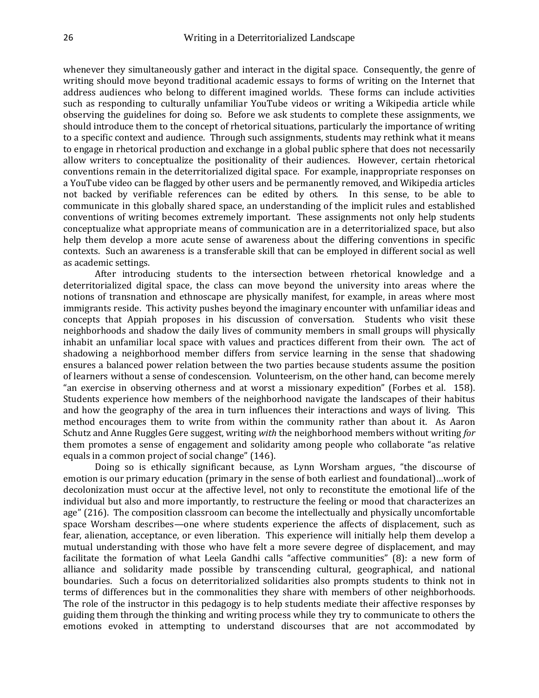whenever they simultaneously gather and interact in the digital space. Consequently, the genre of writing should move beyond traditional academic essays to forms of writing on the Internet that address audiences who belong to different imagined worlds. These forms can include activities such as responding to culturally unfamiliar YouTube videos or writing a Wikipedia article while observing the guidelines for doing so. Before we ask students to complete these assignments, we should introduce them to the concept of rhetorical situations, particularly the importance of writing to a specific context and audience. Through such assignments, students may rethink what it means to engage in rhetorical production and exchange in a global public sphere that does not necessarily allow writers to conceptualize the positionality of their audiences. However, certain rhetorical conventions remain in the deterritorialized digital space. For example, inappropriate responses on a YouTube video can be flagged by other users and be permanently removed, and Wikipedia articles not backed by verifiable references can be edited by others. In this sense, to be able to communicate in this globally shared space, an understanding of the implicit rules and established conventions of writing becomes extremely important. These assignments not only help students conceptualize what appropriate means of communication are in a deterritorialized space, but also help them develop a more acute sense of awareness about the differing conventions in specific contexts. Such an awareness is a transferable skill that can be employed in different social as well as academic settings.

After introducing students to the intersection between rhetorical knowledge and a deterritorialized digital space, the class can move beyond the university into areas where the notions of transnation and ethnoscape are physically manifest, for example, in areas where most immigrants reside. This activity pushes beyond the imaginary encounter with unfamiliar ideas and concepts that Appiah proposes in his discussion of conversation. Students who visit these neighborhoods and shadow the daily lives of community members in small groups will physically inhabit an unfamiliar local space with values and practices different from their own. The act of shadowing a neighborhood member differs from service learning in the sense that shadowing ensures a balanced power relation between the two parties because students assume the position of learners without a sense of condescension. Volunteerism, on the other hand, can become merely "an exercise in observing otherness and at worst a missionary expedition" (Forbes et al. 158). Students experience how members of the neighborhood navigate the landscapes of their habitus and how the geography of the area in turn influences their interactions and ways of living. This method encourages them to write from within the community rather than about it. As Aaron Schutz and Anne Ruggles Gere suggest, writing *with* the neighborhood members without writing *for*  them promotes a sense of engagement and solidarity among people who collaborate "as relative equals in a common project of social change" (146).

Doing so is ethically significant because, as Lynn Worsham argues, "the discourse of emotion is our primary education (primary in the sense of both earliest and foundational)…work of decolonization must occur at the affective level, not only to reconstitute the emotional life of the individual but also and more importantly, to restructure the feeling or mood that characterizes an age" (216). The composition classroom can become the intellectually and physically uncomfortable space Worsham describes—one where students experience the affects of displacement, such as fear, alienation, acceptance, or even liberation. This experience will initially help them develop a mutual understanding with those who have felt a more severe degree of displacement, and may facilitate the formation of what Leela Gandhi calls "affective communities" (8): a new form of alliance and solidarity made possible by transcending cultural, geographical, and national boundaries. Such a focus on deterritorialized solidarities also prompts students to think not in terms of differences but in the commonalities they share with members of other neighborhoods. The role of the instructor in this pedagogy is to help students mediate their affective responses by guiding them through the thinking and writing process while they try to communicate to others the emotions evoked in attempting to understand discourses that are not accommodated by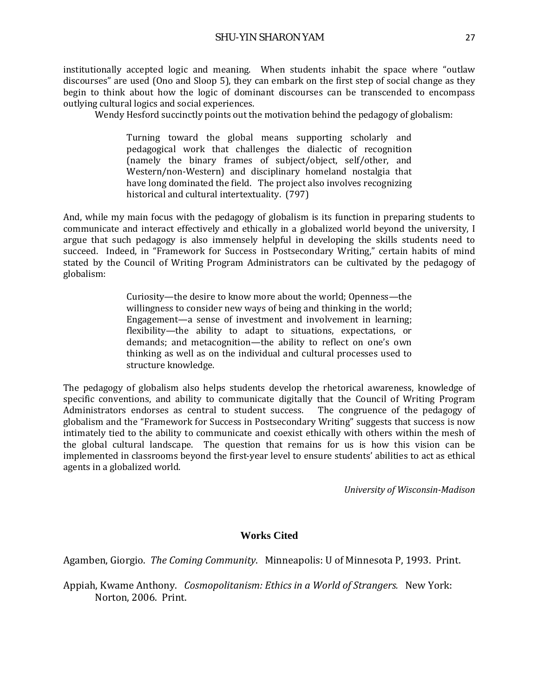institutionally accepted logic and meaning. When students inhabit the space where "outlaw discourses" are used (Ono and Sloop 5), they can embark on the first step of social change as they begin to think about how the logic of dominant discourses can be transcended to encompass outlying cultural logics and social experiences.

Wendy Hesford succinctly points out the motivation behind the pedagogy of globalism:

Turning toward the global means supporting scholarly and pedagogical work that challenges the dialectic of recognition (namely the binary frames of subject/object, self/other, and Western/non-Western) and disciplinary homeland nostalgia that have long dominated the field. The project also involves recognizing historical and cultural intertextuality. (797)

And, while my main focus with the pedagogy of globalism is its function in preparing students to communicate and interact effectively and ethically in a globalized world beyond the university, I argue that such pedagogy is also immensely helpful in developing the skills students need to succeed. Indeed, in "Framework for Success in Postsecondary Writing," certain habits of mind stated by the Council of Writing Program Administrators can be cultivated by the pedagogy of globalism:

> Curiosity—the desire to know more about the world; Openness—the willingness to consider new ways of being and thinking in the world; Engagement—a sense of investment and involvement in learning; flexibility—the ability to adapt to situations, expectations, or demands; and metacognition—the ability to reflect on one's own thinking as well as on the individual and cultural processes used to structure knowledge.

The pedagogy of globalism also helps students develop the rhetorical awareness, knowledge of specific conventions, and ability to communicate digitally that the Council of Writing Program<br>Administrators endorses as central to student success. The congruence of the pedagogy of Administrators endorses as central to student success. globalism and the "Framework for Success in Postsecondary Writing" suggests that success is now intimately tied to the ability to communicate and coexist ethically with others within the mesh of the global cultural landscape. The question that remains for us is how this vision can be implemented in classrooms beyond the first-year level to ensure students' abilities to act as ethical agents in a globalized world.

*University of Wisconsin-Madison*

## **Works Cited**

Agamben, Giorgio. *The Coming Community*. Minneapolis: U of Minnesota P, 1993. Print.

Appiah, Kwame Anthony. *Cosmopolitanism: Ethics in a World of Strangers.* New York: Norton, 2006. Print.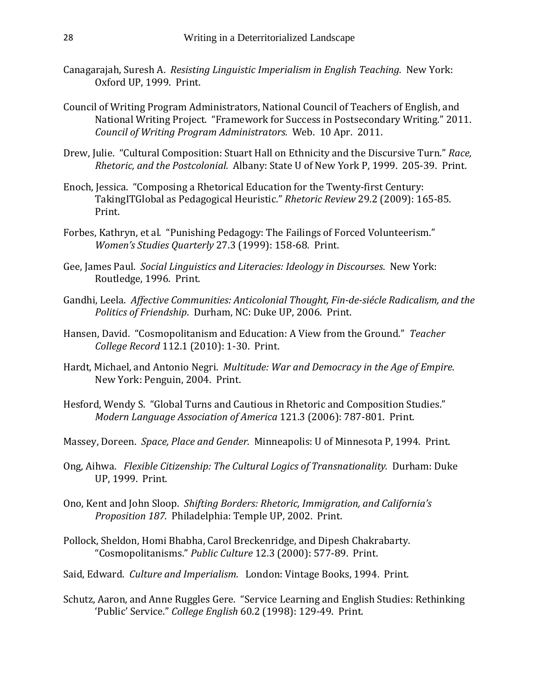- Canagarajah, Suresh A. *Resisting Linguistic Imperialism in English Teaching.* New York: Oxford UP, 1999. Print.
- Council of Writing Program Administrators, National Council of Teachers of English, and National Writing Project. "Framework for Success in Postsecondary Writing." 2011. *Council of Writing Program Administrators.* Web. 10 Apr. 2011.
- Drew, Julie. "Cultural Composition: Stuart Hall on Ethnicity and the Discursive Turn." *Race, Rhetoric, and the Postcolonial.* Albany: State U of New York P, 1999. 205-39. Print.
- Enoch, Jessica. "Composing a Rhetorical Education for the Twenty-first Century: TakingITGlobal as Pedagogical Heuristic." *Rhetoric Review* 29.2 (2009): 165-85. Print.
- Forbes, Kathryn, et al. "Punishing Pedagogy: The Failings of Forced Volunteerism." *Women's Studies Quarterly* 27.3 (1999): 158-68. Print.
- Gee, James Paul. *Social Linguistics and Literacies: Ideology in Discourses*. New York: Routledge, 1996. Print.
- Gandhi, Leela. *Affective Communities: Anticolonial Thought, Fin-de-siécle Radicalism, and the Politics of Friendship*. Durham, NC: Duke UP, 2006. Print.
- Hansen, David. "Cosmopolitanism and Education: A View from the Ground." *Teacher College Record* 112.1 (2010): 1-30. Print.
- Hardt, Michael, and Antonio Negri. *Multitude: War and Democracy in the Age of Empire*. New York: Penguin, 2004. Print.
- Hesford, Wendy S. "Global Turns and Cautious in Rhetoric and Composition Studies." *Modern Language Association of America* 121.3 (2006): 787-801. Print.
- Massey, Doreen. *Space, Place and Gender.* Minneapolis: U of Minnesota P, 1994. Print.
- Ong, Aihwa. *Flexible Citizenship: The Cultural Logics of Transnationality.* Durham: Duke UP, 1999. Print.
- Ono, Kent and John Sloop. *Shifting Borders: Rhetoric, Immigration, and California's Proposition 187*. Philadelphia: Temple UP, 2002. Print.
- Pollock, Sheldon, Homi Bhabha, Carol Breckenridge, and Dipesh Chakrabarty. "Cosmopolitanisms." *Public Culture* 12.3 (2000): 577-89. Print.
- Said, Edward. *Culture and Imperialism*. London: Vintage Books, 1994. Print.
- Schutz, Aaron, and Anne Ruggles Gere. "Service Learning and English Studies: Rethinking 'Public' Service." *College English* 60.2 (1998): 129-49. Print.